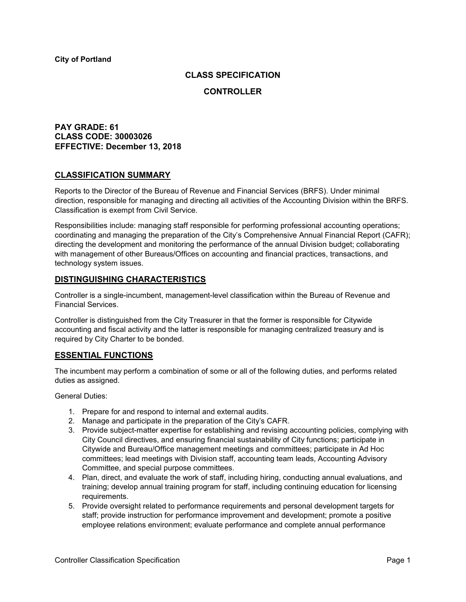## **CLASS SPECIFICATION**

### **CONTROLLER**

## **PAY GRADE: 61 CLASS CODE: 30003026 EFFECTIVE: December 13, 2018**

## **CLASSIFICATION SUMMARY**

Reports to the Director of the Bureau of Revenue and Financial Services (BRFS). Under minimal direction, responsible for managing and directing all activities of the Accounting Division within the BRFS. Classification is exempt from Civil Service.

Responsibilities include: managing staff responsible for performing professional accounting operations; coordinating and managing the preparation of the City's Comprehensive Annual Financial Report (CAFR); directing the development and monitoring the performance of the annual Division budget; collaborating with management of other Bureaus/Offices on accounting and financial practices, transactions, and technology system issues.

## **DISTINGUISHING CHARACTERISTICS**

Controller is a single-incumbent, management-level classification within the Bureau of Revenue and Financial Services.

Controller is distinguished from the City Treasurer in that the former is responsible for Citywide accounting and fiscal activity and the latter is responsible for managing centralized treasury and is required by City Charter to be bonded.

## **ESSENTIAL FUNCTIONS**

The incumbent may perform a combination of some or all of the following duties, and performs related duties as assigned.

General Duties:

- 1. Prepare for and respond to internal and external audits.
- 2. Manage and participate in the preparation of the City's CAFR.
- 3. Provide subject-matter expertise for establishing and revising accounting policies, complying with City Council directives, and ensuring financial sustainability of City functions; participate in Citywide and Bureau/Office management meetings and committees; participate in Ad Hoc committees; lead meetings with Division staff, accounting team leads, Accounting Advisory Committee, and special purpose committees.
- 4. Plan, direct, and evaluate the work of staff, including hiring, conducting annual evaluations, and training; develop annual training program for staff, including continuing education for licensing requirements.
- 5. Provide oversight related to performance requirements and personal development targets for staff; provide instruction for performance improvement and development; promote a positive employee relations environment; evaluate performance and complete annual performance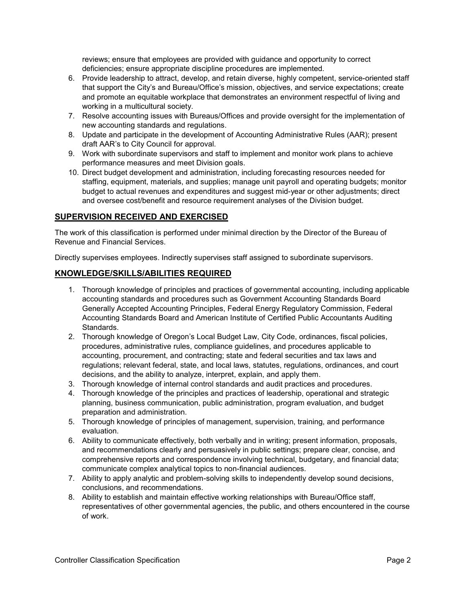reviews; ensure that employees are provided with guidance and opportunity to correct deficiencies; ensure appropriate discipline procedures are implemented.

- 6. Provide leadership to attract, develop, and retain diverse, highly competent, service-oriented staff that support the City's and Bureau/Office's mission, objectives, and service expectations; create and promote an equitable workplace that demonstrates an environment respectful of living and working in a multicultural society.
- 7. Resolve accounting issues with Bureaus/Offices and provide oversight for the implementation of new accounting standards and regulations.
- 8. Update and participate in the development of Accounting Administrative Rules (AAR); present draft AAR's to City Council for approval.
- 9. Work with subordinate supervisors and staff to implement and monitor work plans to achieve performance measures and meet Division goals.
- 10. Direct budget development and administration, including forecasting resources needed for staffing, equipment, materials, and supplies; manage unit payroll and operating budgets; monitor budget to actual revenues and expenditures and suggest mid-year or other adjustments; direct and oversee cost/benefit and resource requirement analyses of the Division budget.

# **SUPERVISION RECEIVED AND EXERCISED**

The work of this classification is performed under minimal direction by the Director of the Bureau of Revenue and Financial Services.

Directly supervises employees. Indirectly supervises staff assigned to subordinate supervisors.

# **KNOWLEDGE/SKILLS/ABILITIES REQUIRED**

- 1. Thorough knowledge of principles and practices of governmental accounting, including applicable accounting standards and procedures such as Government Accounting Standards Board Generally Accepted Accounting Principles, Federal Energy Regulatory Commission, Federal Accounting Standards Board and American Institute of Certified Public Accountants Auditing Standards.
- 2. Thorough knowledge of Oregon's Local Budget Law, City Code, ordinances, fiscal policies, procedures, administrative rules, compliance guidelines, and procedures applicable to accounting, procurement, and contracting; state and federal securities and tax laws and regulations; relevant federal, state, and local laws, statutes, regulations, ordinances, and court decisions, and the ability to analyze, interpret, explain, and apply them.
- 3. Thorough knowledge of internal control standards and audit practices and procedures.
- 4. Thorough knowledge of the principles and practices of leadership, operational and strategic planning, business communication, public administration, program evaluation, and budget preparation and administration.
- 5. Thorough knowledge of principles of management, supervision, training, and performance evaluation.
- 6. Ability to communicate effectively, both verbally and in writing; present information, proposals, and recommendations clearly and persuasively in public settings; prepare clear, concise, and comprehensive reports and correspondence involving technical, budgetary, and financial data; communicate complex analytical topics to non-financial audiences.
- 7. Ability to apply analytic and problem-solving skills to independently develop sound decisions, conclusions, and recommendations.
- 8. Ability to establish and maintain effective working relationships with Bureau/Office staff, representatives of other governmental agencies, the public, and others encountered in the course of work.